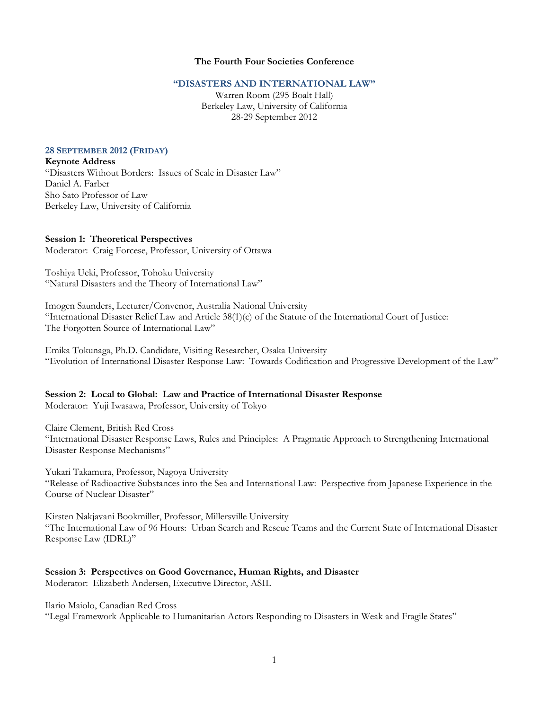## **The Fourth Four Societies Conference**

## **"DISASTERS AND INTERNATIONAL LAW"**

Warren Room (295 Boalt Hall) Berkeley Law, University of California 28-29 September 2012

## **28 SEPTEMBER 2012 (FRIDAY)**

## **Keynote Address**

"Disasters Without Borders: Issues of Scale in Disaster Law" Daniel A. Farber Sho Sato Professor of Law Berkeley Law, University of California

#### **Session 1: Theoretical Perspectives**

Moderator: Craig Forcese, Professor, University of Ottawa

Toshiya Ueki, Professor, Tohoku University "Natural Disasters and the Theory of International Law"

Imogen Saunders, Lecturer/Convenor, Australia National University "International Disaster Relief Law and Article 38(1)(c) of the Statute of the International Court of Justice: The Forgotten Source of International Law"

Emika Tokunaga, Ph.D. Candidate, Visiting Researcher, Osaka University "Evolution of International Disaster Response Law: Towards Codification and Progressive Development of the Law"

# **Session 2: Local to Global: Law and Practice of International Disaster Response**

Moderator: Yuji Iwasawa, Professor, University of Tokyo

Claire Clement, British Red Cross

"International Disaster Response Laws, Rules and Principles: A Pragmatic Approach to Strengthening International Disaster Response Mechanisms"

Yukari Takamura, Professor, Nagoya University

"Release of Radioactive Substances into the Sea and International Law: Perspective from Japanese Experience in the Course of Nuclear Disaster"

Kirsten Nakjavani Bookmiller, Professor, Millersville University "The International Law of 96 Hours: Urban Search and Rescue Teams and the Current State of International Disaster Response Law (IDRL)"

### **Session 3: Perspectives on Good Governance, Human Rights, and Disaster**

Moderator: Elizabeth Andersen, Executive Director, ASIL

Ilario Maiolo, Canadian Red Cross

"Legal Framework Applicable to Humanitarian Actors Responding to Disasters in Weak and Fragile States"